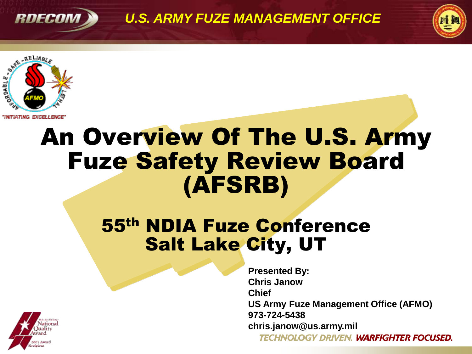

*U.S. ARMY FUZE MANAGEMENT OFFICE*





### An Overview Of The U.S. Army Fuze Safety Review Board (AFSRB)

### 55th NDIA Fuze Conference Salt Lake City, UT

I

**Presented By: Chris Janow Chief US Army Fuze Management Office (AFMO) 973-724-5438 chris.janow@us.army.mil TECHNOLOGY DRIVEN. WARFIGHTER FOCUSED.** 

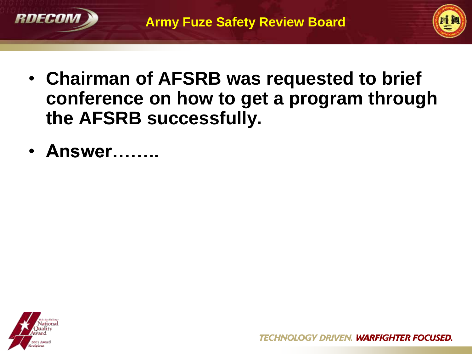



- **Chairman of AFSRB was requested to brief conference on how to get a program through the AFSRB successfully.**
- **Answer……..**

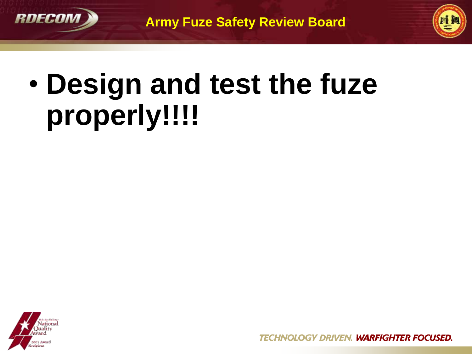

**Army Fuze Safety Review Board**



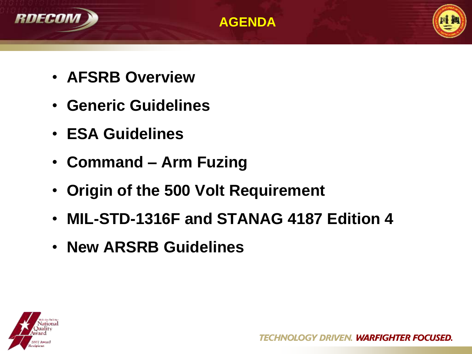





- **AFSRB Overview**
- **Generic Guidelines**
- **ESA Guidelines**
- **Command – Arm Fuzing**
- **Origin of the 500 Volt Requirement**
- **MIL-STD-1316F and STANAG 4187 Edition 4**
- **New ARSRB Guidelines**

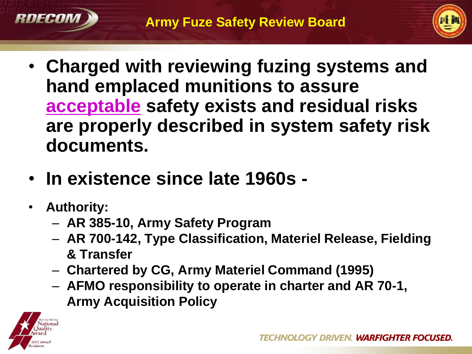



- **Charged with reviewing fuzing systems and hand emplaced munitions to assure acceptable safety exists and residual risks are properly described in system safety risk documents.**
- **In existence since late 1960s -**
- **Authority:**
	- **AR 385-10, Army Safety Program**
	- **AR 700-142, Type Classification, Materiel Release, Fielding & Transfer**
	- **Chartered by CG, Army Materiel Command (1995)**
	- **AFMO responsibility to operate in charter and AR 70-1, Army Acquisition Policy**

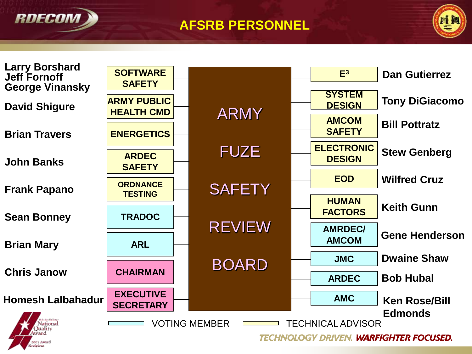

007 Award

#### **AFSRB PERSONNEL**



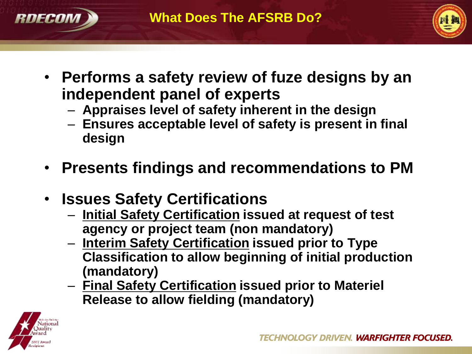



- **Performs a safety review of fuze designs by an independent panel of experts**
	- **Appraises level of safety inherent in the design**
	- **Ensures acceptable level of safety is present in final design**
- **Presents findings and recommendations to PM**
- **Issues Safety Certifications**
	- **Initial Safety Certification issued at request of test agency or project team (non mandatory)**
	- **Interim Safety Certification issued prior to Type Classification to allow beginning of initial production (mandatory)**
	- **Final Safety Certification issued prior to Materiel Release to allow fielding (mandatory)**

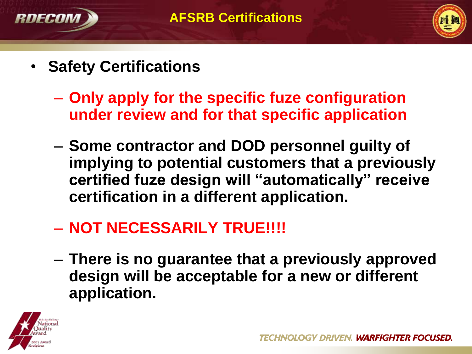



- **Safety Certifications**
	- **Only apply for the specific fuze configuration under review and for that specific application**
	- **Some contractor and DOD personnel guilty of implying to potential customers that a previously certified fuze design will "automatically" receive certification in a different application.**
	- **NOT NECESSARILY TRUE!!!!**
	- **There is no guarantee that a previously approved design will be acceptable for a new or different application.**

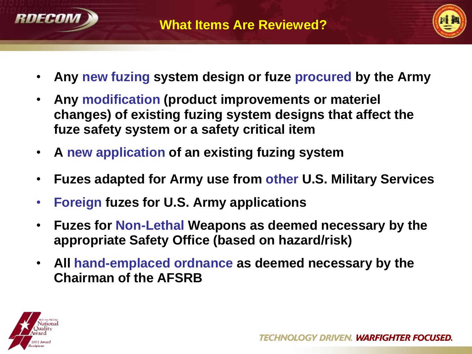



- **Any new fuzing system design or fuze procured by the Army**
- **Any modification (product improvements or materiel changes) of existing fuzing system designs that affect the fuze safety system or a safety critical item**
- **A new application of an existing fuzing system**
- **Fuzes adapted for Army use from other U.S. Military Services**
- **Foreign fuzes for U.S. Army applications**
- **Fuzes for Non-Lethal Weapons as deemed necessary by the appropriate Safety Office (based on hazard/risk)**
- **All hand-emplaced ordnance as deemed necessary by the Chairman of the AFSRB**

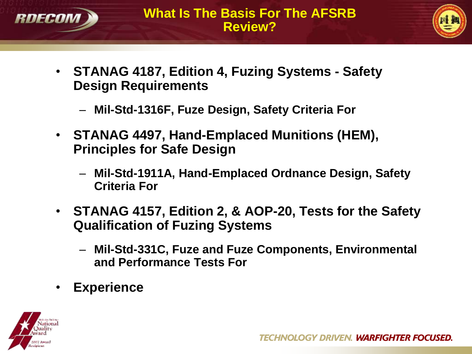



- **STANAG 4187, Edition 4, Fuzing Systems - Safety Design Requirements**
	- **Mil-Std-1316F, Fuze Design, Safety Criteria For**
- **STANAG 4497, Hand-Emplaced Munitions (HEM), Principles for Safe Design**
	- **Mil-Std-1911A, Hand-Emplaced Ordnance Design, Safety Criteria For**
- **STANAG 4157, Edition 2, & AOP-20, Tests for the Safety Qualification of Fuzing Systems**
	- **Mil-Std-331C, Fuze and Fuze Components, Environmental and Performance Tests For**
- **Experience**

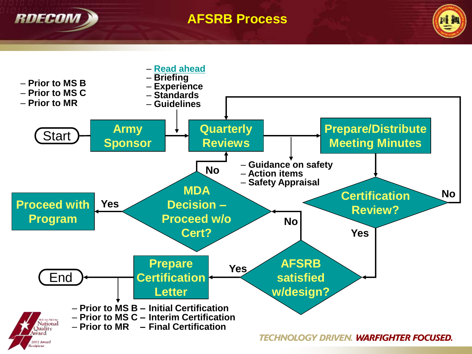**RDECOM** 

**AFSRB Process**



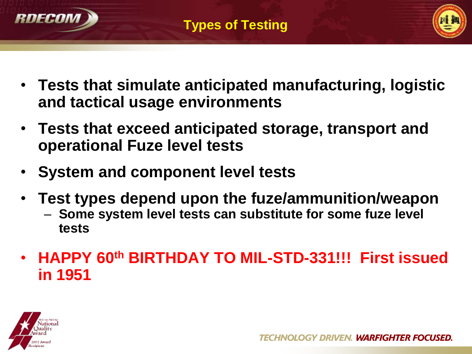



- **Tests that simulate anticipated manufacturing, logistic and tactical usage environments**
- **Tests that exceed anticipated storage, transport and operational Fuze level tests**
- **System and component level tests**
- **Test types depend upon the fuze/ammunition/weapon** – **Some system level tests can substitute for some fuze level tests**
- **HAPPY 60th BIRTHDAY TO MIL-STD-331!!! First issued in 1951**

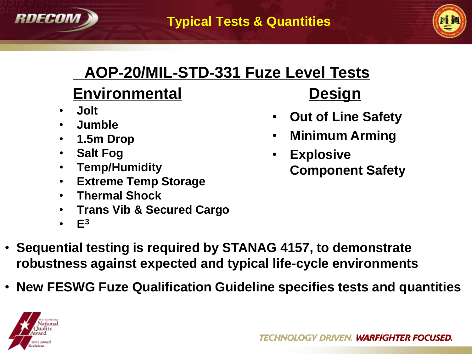



### **AOP-20/MIL-STD-331 Fuze Level Tests**

### **Environmental Design**

- **Jolt**
- **Jumble**
- **1.5m Drop**
- **Salt Fog**
- **Temp/Humidity**
- **Extreme Temp Storage**
- **Thermal Shock**
- **Trans Vib & Secured Cargo**
- **E<sup>3</sup>**

- **Out of Line Safety**
- **Minimum Arming**
- **Explosive Component Safety**

- **Sequential testing is required by STANAG 4157, to demonstrate robustness against expected and typical life-cycle environments**
- **New FESWG Fuze Qualification Guideline specifies tests and quantities**

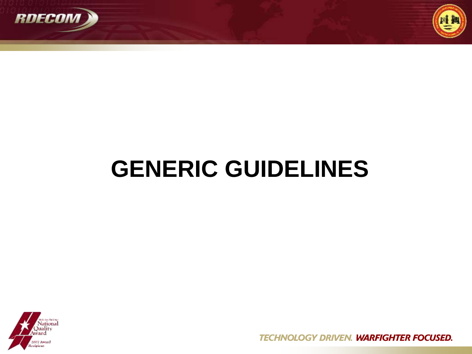



# **GENERIC GUIDELINES**

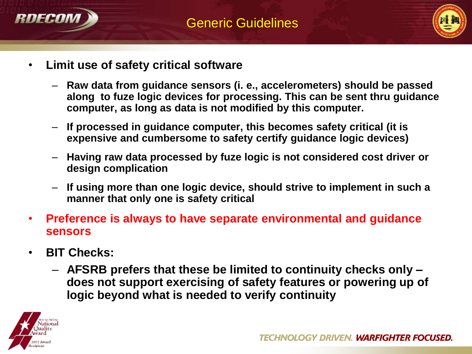



- **Limit use of safety critical software**
	- **Raw data from guidance sensors (i. e., accelerometers) should be passed along to fuze logic devices for processing. This can be sent thru guidance computer, as long as data is not modified by this computer.**
	- **If processed in guidance computer, this becomes safety critical (it is expensive and cumbersome to safety certify guidance logic devices)**
	- **Having raw data processed by fuze logic is not considered cost driver or design complication**
	- **If using more than one logic device, should strive to implement in such a manner that only one is safety critical**
- **Preference is always to have separate environmental and guidance sensors**
- **BIT Checks:**
	- **AFSRB prefers that these be limited to continuity checks only – does not support exercising of safety features or powering up of logic beyond what is needed to verify continuity**

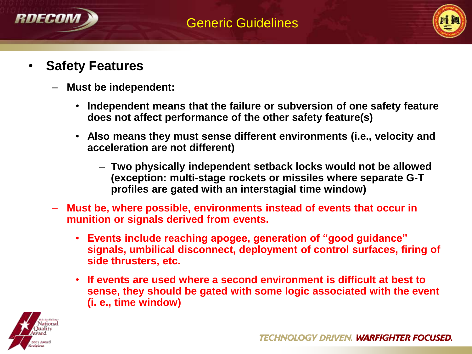



#### • **Safety Features**

- **Must be independent:**
	- **Independent means that the failure or subversion of one safety feature does not affect performance of the other safety feature(s)**
	- **Also means they must sense different environments (i.e., velocity and acceleration are not different)**
		- **Two physically independent setback locks would not be allowed (exception: multi-stage rockets or missiles where separate G-T profiles are gated with an interstagial time window)**
- **Must be, where possible, environments instead of events that occur in munition or signals derived from events.**
	- **Events include reaching apogee, generation of "good guidance" signals, umbilical disconnect, deployment of control surfaces, firing of side thrusters, etc.**
	- **If events are used where a second environment is difficult at best to sense, they should be gated with some logic associated with the event (i. e., time window)**

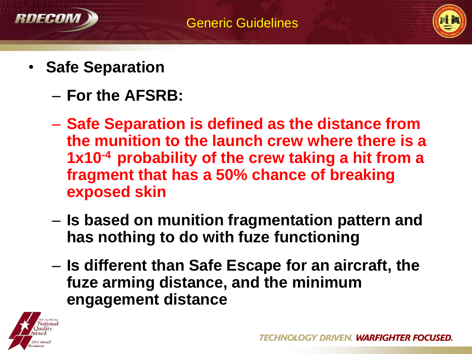



- **Safe Separation**
	- **For the AFSRB:**
	- **Safe Separation is defined as the distance from the munition to the launch crew where there is a 1x10-4 probability of the crew taking a hit from a fragment that has a 50% chance of breaking exposed skin**
	- **Is based on munition fragmentation pattern and has nothing to do with fuze functioning**
	- **Is different than Safe Escape for an aircraft, the fuze arming distance, and the minimum engagement distance**

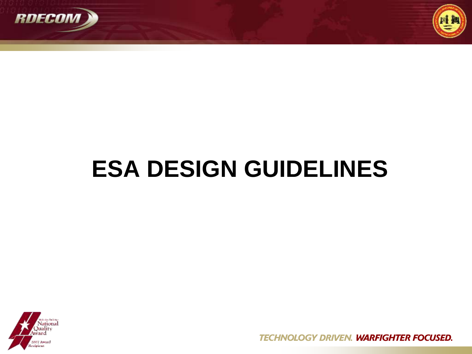



# **ESA DESIGN GUIDELINES**

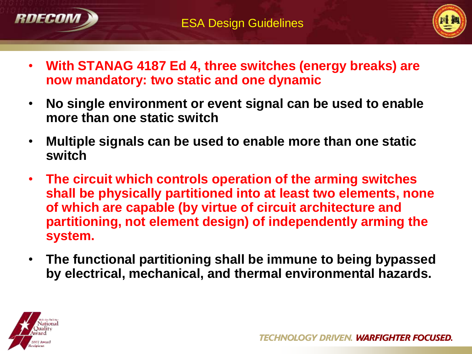



- **With STANAG 4187 Ed 4, three switches (energy breaks) are now mandatory: two static and one dynamic**
- **No single environment or event signal can be used to enable more than one static switch**
- **Multiple signals can be used to enable more than one static switch**
- **The circuit which controls operation of the arming switches shall be physically partitioned into at least two elements, none of which are capable (by virtue of circuit architecture and partitioning, not element design) of independently arming the system.**
- **The functional partitioning shall be immune to being bypassed by electrical, mechanical, and thermal environmental hazards.**

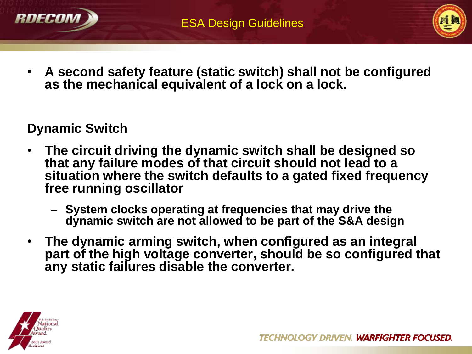



• **A second safety feature (static switch) shall not be configured as the mechanical equivalent of a lock on a lock.**

#### **Dynamic Switch**

- **The circuit driving the dynamic switch shall be designed so that any failure modes of that circuit should not lead to a situation where the switch defaults to a gated fixed frequency free running oscillator**
	- **System clocks operating at frequencies that may drive the dynamic switch are not allowed to be part of the S&A design**
- **The dynamic arming switch, when configured as an integral part of the high voltage converter, should be so configured that any static failures disable the converter.**

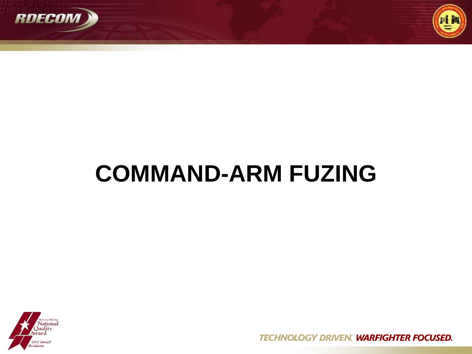



# **COMMAND-ARM FUZING**

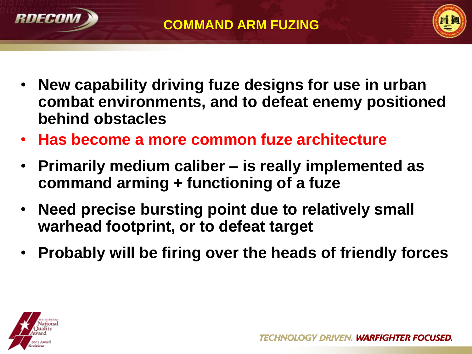



- **New capability driving fuze designs for use in urban combat environments, and to defeat enemy positioned behind obstacles**
- **Has become a more common fuze architecture**
- **Primarily medium caliber – is really implemented as command arming + functioning of a fuze**
- **Need precise bursting point due to relatively small warhead footprint, or to defeat target**
- **Probably will be firing over the heads of friendly forces**

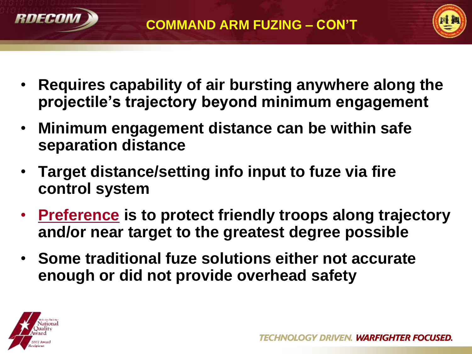



- **Requires capability of air bursting anywhere along the projectile's trajectory beyond minimum engagement**
- **Minimum engagement distance can be within safe separation distance**
- **Target distance/setting info input to fuze via fire control system**
- **Preference is to protect friendly troops along trajectory and/or near target to the greatest degree possible**
- **Some traditional fuze solutions either not accurate enough or did not provide overhead safety**

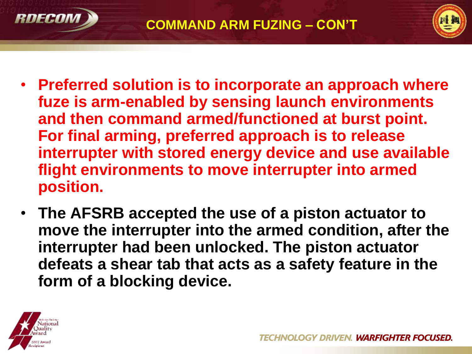



- **Preferred solution is to incorporate an approach where fuze is arm-enabled by sensing launch environments and then command armed/functioned at burst point. For final arming, preferred approach is to release interrupter with stored energy device and use available flight environments to move interrupter into armed position.**
- **The AFSRB accepted the use of a piston actuator to move the interrupter into the armed condition, after the interrupter had been unlocked. The piston actuator defeats a shear tab that acts as a safety feature in the form of a blocking device.**

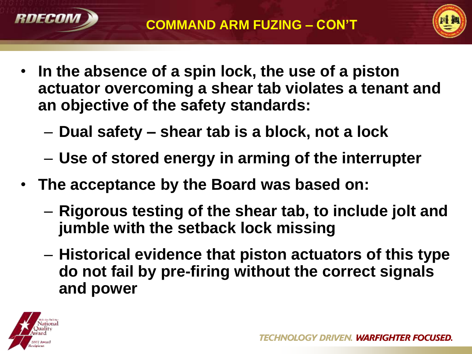



- **In the absence of a spin lock, the use of a piston actuator overcoming a shear tab violates a tenant and an objective of the safety standards:**
	- **Dual safety – shear tab is a block, not a lock**
	- **Use of stored energy in arming of the interrupter**
- **The acceptance by the Board was based on:**
	- **Rigorous testing of the shear tab, to include jolt and jumble with the setback lock missing**
	- **Historical evidence that piston actuators of this type do not fail by pre-firing without the correct signals and power**

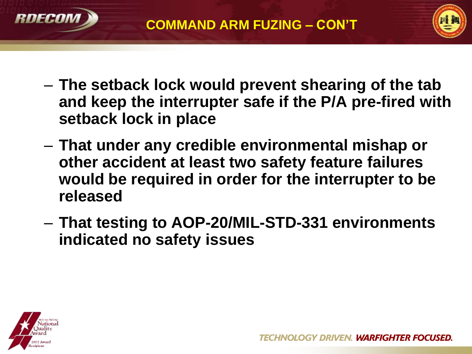



- **The setback lock would prevent shearing of the tab and keep the interrupter safe if the P/A pre-fired with setback lock in place**
- **That under any credible environmental mishap or other accident at least two safety feature failures would be required in order for the interrupter to be released**
- **That testing to AOP-20/MIL-STD-331 environments indicated no safety issues**

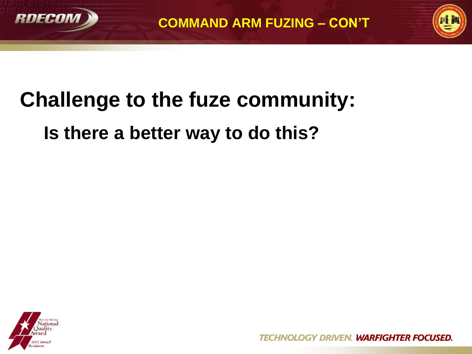



### **Challenge to the fuze community:**

**Is there a better way to do this?**

<span id="page-26-0"></span>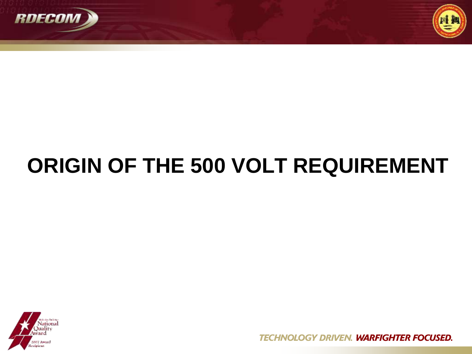



## **ORIGIN OF THE 500 VOLT REQUIREMENT**

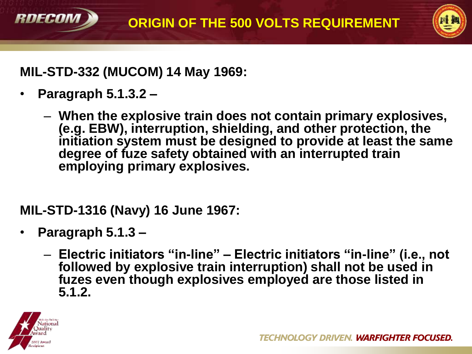

**MIL-STD-332 (MUCOM) 14 May 1969:**

• **Paragraph 5.1.3.2 –**

RNFCN

– **When the explosive train does not contain primary explosives, (e.g. EBW), interruption, shielding, and other protection, the initiation system must be designed to provide at least the same degree of fuze safety obtained with an interrupted train employing primary explosives.**

**MIL-STD-1316 (Navy) 16 June 1967:**

- **Paragraph 5.1.3 –**
	- **Electric initiators "in-line" – Electric initiators "in-line" (i.e., not followed by explosive train interruption) shall not be used in fuzes even though explosives employed are those listed in 5.1.2.**

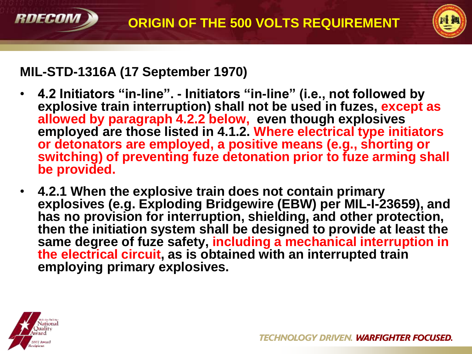

#### **MIL-STD-1316A (17 September 1970)**

- **4.2 Initiators "in-line". - Initiators "in-line" (i.e., not followed by explosive train interruption) shall not be used in fuzes, except as allowed by paragraph 4.2.2 below, even though explosives employed are those listed in 4.1.2. Where electrical type initiators or detonators are employed, a positive means (e.g., shorting or switching) of preventing fuze detonation prior to fuze arming shall be provided.**
- **4.2.1 When the explosive train does not contain primary explosives (e.g. Exploding Bridgewire (EBW) per MIL-I-23659), and has no provision for interruption, shielding, and other protection, then the initiation system shall be designed to provide at least the same degree of fuze safety, including a mechanical interruption in the electrical circuit, as is obtained with an interrupted train employing primary explosives.**



RNFCA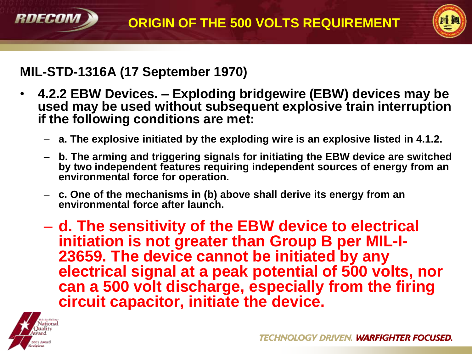

**MIL-STD-1316A (17 September 1970)** 

- **4.2.2 EBW Devices. – Exploding bridgewire (EBW) devices may be used may be used without subsequent explosive train interruption if the following conditions are met:**
	- **a. The explosive initiated by the exploding wire is an explosive listed in 4.1.2.**
	- **b. The arming and triggering signals for initiating the EBW device are switched by two independent features requiring independent sources of energy from an environmental force for operation.**
	- **c. One of the mechanisms in (b) above shall derive its energy from an environmental force after launch.**
	- **d. The sensitivity of the EBW device to electrical initiation is not greater than Group B per MIL-I-23659. The device cannot be initiated by any electrical signal at a peak potential of 500 volts, nor can a 500 volt discharge, especially from the firing circuit capacitor, initiate the device.**



RDECO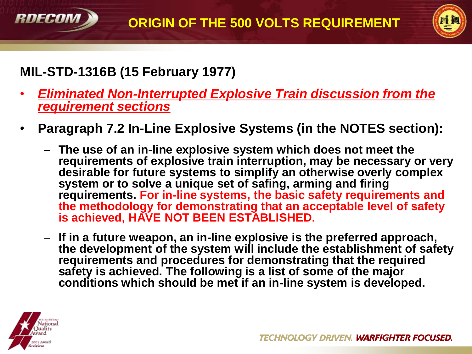

### **MIL-STD-1316B (15 February 1977)**

- *Eliminated Non-Interrupted Explosive Train discussion from the requirement sections*
- **Paragraph 7.2 In-Line Explosive Systems (in the NOTES section):**
	- **The use of an in-line explosive system which does not meet the requirements of explosive train interruption, may be necessary or very desirable for future systems to simplify an otherwise overly complex system or to solve a unique set of safing, arming and firing requirements. For in-line systems, the basic safety requirements and the methodology for demonstrating that an acceptable level of safety is achieved, HAVE NOT BEEN ESTABLISHED.**
	- **If in a future weapon, an in-line explosive is the preferred approach, the development of the system will include the establishment of safety requirements and procedures for demonstrating that the required safety is achieved. The following is a list of some of the major conditions which should be met if an in-line system is developed.**



RNFCN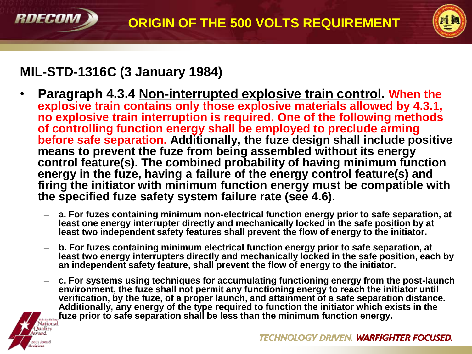

#### **MIL-STD-1316C (3 January 1984)**

- **Paragraph 4.3.4 Non-interrupted explosive train control. When the explosive train contains only those explosive materials allowed by 4.3.1, no explosive train interruption is required. One of the following methods of controlling function energy shall be employed to preclude arming before safe separation. Additionally, the fuze design shall include positive means to prevent the fuze from being assembled without its energy control feature(s). The combined probability of having minimum function energy in the fuze, having a failure of the energy control feature(s) and firing the initiator with minimum function energy must be compatible with the specified fuze safety system failure rate (see 4.6).**
	- **a. For fuzes containing minimum non-electrical function energy prior to safe separation, at least one energy interrupter directly and mechanically locked in the safe position by at least two independent safety features shall prevent the flow of energy to the initiator.**
	- **b. For fuzes containing minimum electrical function energy prior to safe separation, at least two energy interrupters directly and mechanically locked in the safe position, each by an independent safety feature, shall prevent the flow of energy to the initiator.**
	- **c. For systems using techniques for accumulating functioning energy from the post-launch environment, the fuze shall not permit any functioning energy to reach the initiator until verification, by the fuze, of a proper launch, and attainment of a safe separation distance. Additionally, any energy of the type required to function the initiator which exists in the fuze prior to safe separation shall be less than the minimum function energy.**



RNFCA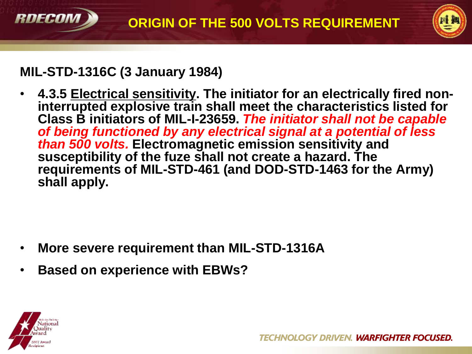



**MIL-STD-1316C (3 January 1984)**

• **4.3.5 Electrical sensitivity. The initiator for an electrically fired noninterrupted explosive train shall meet the characteristics listed for Class B initiators of MIL-I-23659.** *The initiator shall not be capable of being functioned by any electrical signal at a potential of less than 500 volts.* **Electromagnetic emission sensitivity and susceptibility of the fuze shall not create a hazard. The requirements of MIL-STD-461 (and DOD-STD-1463 for the Army) shall apply.**

- **More severe requirement than MIL-STD-1316A**
- **Based on experience with EBWs?**



RDECO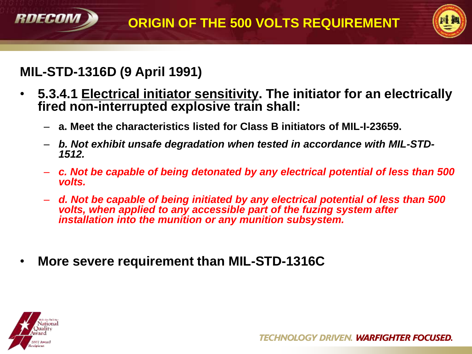

#### **MIL-STD-1316D (9 April 1991)**

- **5.3.4.1 Electrical initiator sensitivity. The initiator for an electrically fired non-interrupted explosive train shall:**
	- **a. Meet the characteristics listed for Class B initiators of MIL-I-23659.**
	- *b. Not exhibit unsafe degradation when tested in accordance with MIL-STD-1512.*
	- *c. Not be capable of being detonated by any electrical potential of less than 500 volts.*
	- *d. Not be capable of being initiated by any electrical potential of less than 500 volts, when applied to any accessible part of the fuzing system after installation into the munition or any munition subsystem.*
- **More severe requirement than MIL-STD-1316C**



RDECON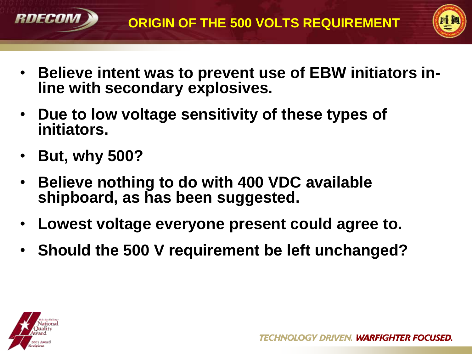



- **Believe intent was to prevent use of EBW initiators inline with secondary explosives.**
- **Due to low voltage sensitivity of these types of initiators.**
- **But, why 500?**
- **Believe nothing to do with 400 VDC available shipboard, as has been suggested.**
- **Lowest voltage everyone present could agree to.**
- **Should the 500 V requirement be left unchanged?**



RNFCO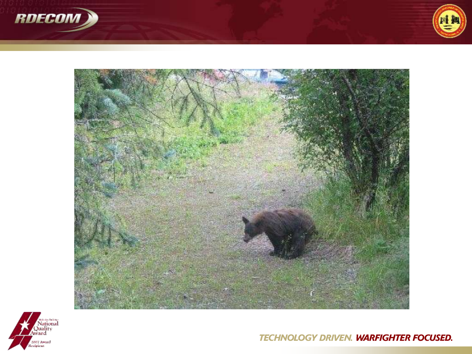





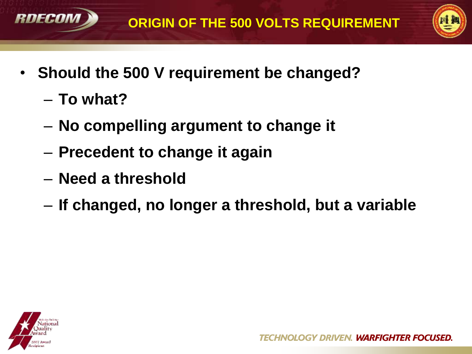



- **Should the 500 V requirement be changed?**
	- **To what?**
	- **No compelling argument to change it**
	- **Precedent to change it again**
	- **Need a threshold**
	- **If changed, no longer a threshold, but a variable**

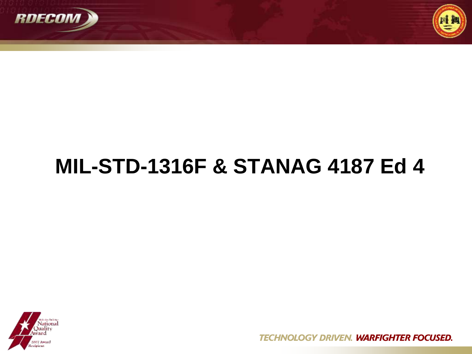



### **MIL-STD-1316F & STANAG 4187 Ed 4**

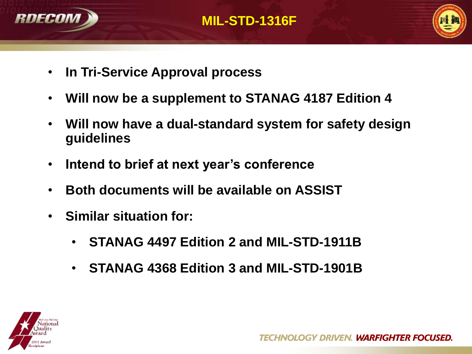



- **In Tri-Service Approval process**
- **Will now be a supplement to STANAG 4187 Edition 4**
- **Will now have a dual-standard system for safety design guidelines**

**MIL-STD-1316F**

- **Intend to brief at next year's conference**
- **Both documents will be available on ASSIST**
- **Similar situation for:**
	- **STANAG 4497 Edition 2 and MIL-STD-1911B**
	- **STANAG 4368 Edition 3 and MIL-STD-1901B**

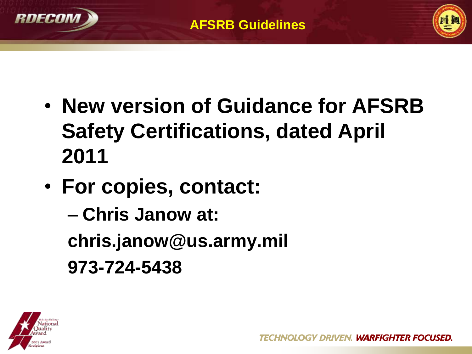



- **New version of Guidance for AFSRB Safety Certifications, dated April 2011**
- **For copies, contact:**
	- **Chris Janow at:**
	- **chris.janow@us.army.mil 973-724-5438**

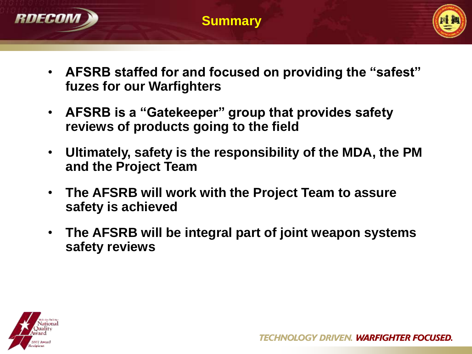



- **AFSRB staffed for and focused on providing the "safest" fuzes for our Warfighters**
- **AFSRB is a "Gatekeeper" group that provides safety reviews of products going to the field**
- **Ultimately, safety is the responsibility of the MDA, the PM and the Project Team**
- **The AFSRB will work with the Project Team to assure safety is achieved**
- **The AFSRB will be integral part of joint weapon systems safety reviews**